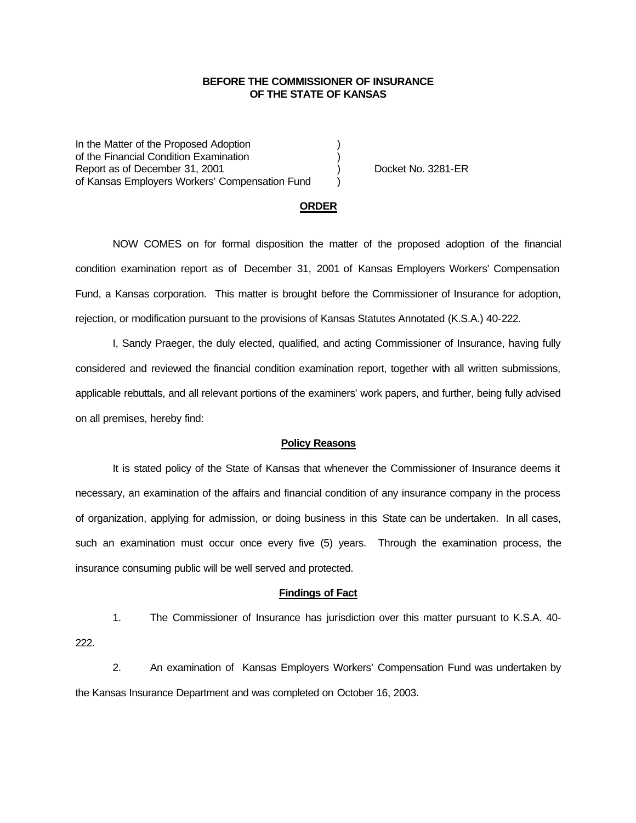## **BEFORE THE COMMISSIONER OF INSURANCE OF THE STATE OF KANSAS**

In the Matter of the Proposed Adoption of the Financial Condition Examination ) Report as of December 31, 2001 (and Separation Control of Australian Control of Australian Control of Australia of Kansas Employers Workers' Compensation Fund )

## **ORDER**

NOW COMES on for formal disposition the matter of the proposed adoption of the financial condition examination report as of December 31, 2001 of Kansas Employers Workers' Compensation Fund, a Kansas corporation. This matter is brought before the Commissioner of Insurance for adoption, rejection, or modification pursuant to the provisions of Kansas Statutes Annotated (K.S.A.) 40-222.

I, Sandy Praeger, the duly elected, qualified, and acting Commissioner of Insurance, having fully considered and reviewed the financial condition examination report, together with all written submissions, applicable rebuttals, and all relevant portions of the examiners' work papers, and further, being fully advised on all premises, hereby find:

#### **Policy Reasons**

It is stated policy of the State of Kansas that whenever the Commissioner of Insurance deems it necessary, an examination of the affairs and financial condition of any insurance company in the process of organization, applying for admission, or doing business in this State can be undertaken. In all cases, such an examination must occur once every five (5) years. Through the examination process, the insurance consuming public will be well served and protected.

### **Findings of Fact**

1. The Commissioner of Insurance has jurisdiction over this matter pursuant to K.S.A. 40- 222.

2. An examination of Kansas Employers Workers' Compensation Fund was undertaken by the Kansas Insurance Department and was completed on October 16, 2003.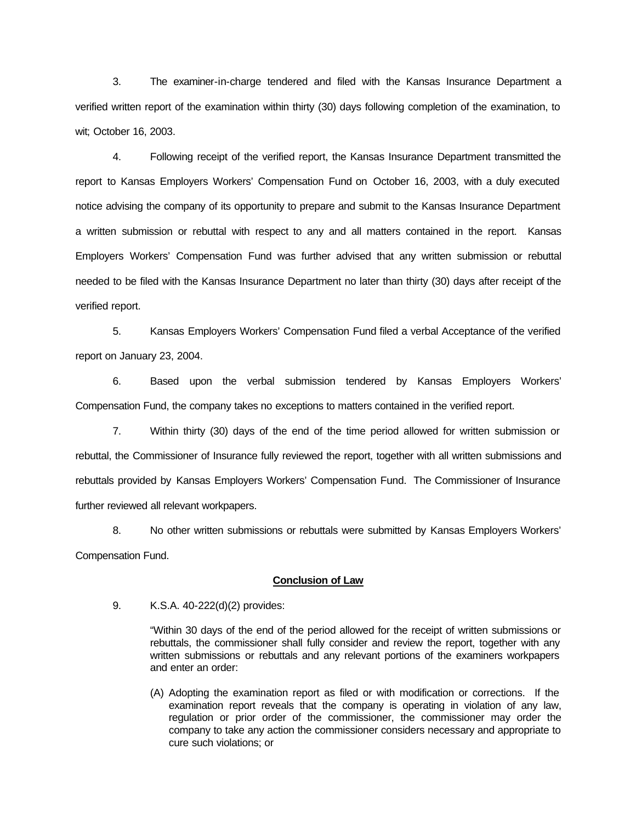3. The examiner-in-charge tendered and filed with the Kansas Insurance Department a verified written report of the examination within thirty (30) days following completion of the examination, to wit; October 16, 2003.

4. Following receipt of the verified report, the Kansas Insurance Department transmitted the report to Kansas Employers Workers' Compensation Fund on October 16, 2003, with a duly executed notice advising the company of its opportunity to prepare and submit to the Kansas Insurance Department a written submission or rebuttal with respect to any and all matters contained in the report. Kansas Employers Workers' Compensation Fund was further advised that any written submission or rebuttal needed to be filed with the Kansas Insurance Department no later than thirty (30) days after receipt of the verified report.

5. Kansas Employers Workers' Compensation Fund filed a verbal Acceptance of the verified report on January 23, 2004.

6. Based upon the verbal submission tendered by Kansas Employers Workers' Compensation Fund, the company takes no exceptions to matters contained in the verified report.

7. Within thirty (30) days of the end of the time period allowed for written submission or rebuttal, the Commissioner of Insurance fully reviewed the report, together with all written submissions and rebuttals provided by Kansas Employers Workers' Compensation Fund. The Commissioner of Insurance further reviewed all relevant workpapers.

8. No other written submissions or rebuttals were submitted by Kansas Employers Workers' Compensation Fund.

## **Conclusion of Law**

9. K.S.A. 40-222(d)(2) provides:

"Within 30 days of the end of the period allowed for the receipt of written submissions or rebuttals, the commissioner shall fully consider and review the report, together with any written submissions or rebuttals and any relevant portions of the examiners workpapers and enter an order:

(A) Adopting the examination report as filed or with modification or corrections. If the examination report reveals that the company is operating in violation of any law, regulation or prior order of the commissioner, the commissioner may order the company to take any action the commissioner considers necessary and appropriate to cure such violations; or